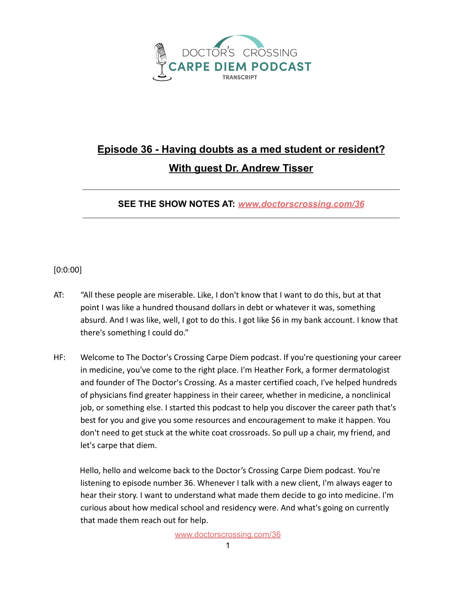

## **Episode 36 - Having doubts as a med student or resident? With guest Dr. Andrew Tisser**

**SEE THE SHOW NOTES AT:** *[www.doctorscrossing.com/36](http://www.doctorscrossing.com/36)*

## [0:0:00]

- AT: "All these people are miserable. Like, I don't know that I want to do this, but at that point I was like a hundred thousand dollars in debt or whatever it was, something absurd. And I was like, well, I got to do this. I got like \$6 in my bank account. I know that there's something I could do."
- HF: Welcome to The Doctor's Crossing Carpe Diem podcast. If you're questioning your career in medicine, you've come to the right place. I'm Heather Fork, a former dermatologist and founder of The Doctor's Crossing. As a master certified coach, I've helped hundreds of physicians find greater happiness in their career, whether in medicine, a nonclinical job, or something else. I started this podcast to help you discover the career path that's best for you and give you some resources and encouragement to make it happen. You don't need to get stuck at the white coat crossroads. So pull up a chair, my friend, and let's carpe that diem.

Hello, hello and welcome back to the Doctor's Crossing Carpe Diem podcast. You're listening to episode number 36. Whenever I talk with a new client, I'm always eager to hear their story. I want to understand what made them decide to go into medicine. I'm curious about how medical school and residency were. And what's going on currently that made them reach out for help.

[www.doctorscrossing.com/36](http://www.doctorscrossing.com/36)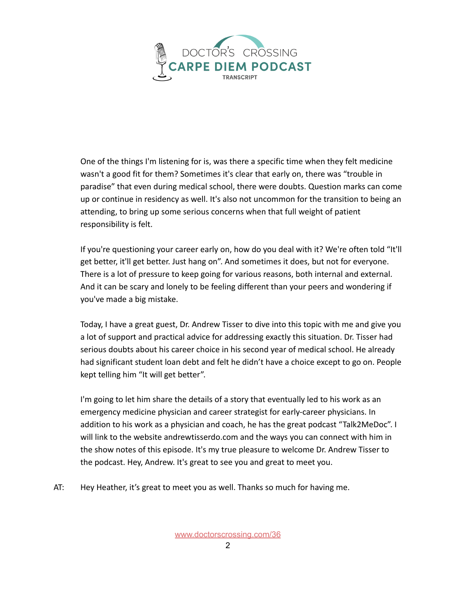

One of the things I'm listening for is, was there a specific time when they felt medicine wasn't a good fit for them? Sometimes it's clear that early on, there was "trouble in paradise" that even during medical school, there were doubts. Question marks can come up or continue in residency as well. It's also not uncommon for the transition to being an attending, to bring up some serious concerns when that full weight of patient responsibility is felt.

If you're questioning your career early on, how do you deal with it? We're often told "It'll get better, it'll get better. Just hang on". And sometimes it does, but not for everyone. There is a lot of pressure to keep going for various reasons, both internal and external. And it can be scary and lonely to be feeling different than your peers and wondering if you've made a big mistake.

Today, I have a great guest, Dr. Andrew Tisser to dive into this topic with me and give you a lot of support and practical advice for addressing exactly this situation. Dr. Tisser had serious doubts about his career choice in his second year of medical school. He already had significant student loan debt and felt he didn't have a choice except to go on. People kept telling him "It will get better".

I'm going to let him share the details of a story that eventually led to his work as an emergency medicine physician and career strategist for early-career physicians. In addition to his work as a physician and coach, he has the great podcast "Talk2MeDoc". I will link to the website andrewtisserdo.com and the ways you can connect with him in the show notes of this episode. It's my true pleasure to welcome Dr. Andrew Tisser to the podcast. Hey, Andrew. It's great to see you and great to meet you.

AT: Hey Heather, it's great to meet you as well. Thanks so much for having me.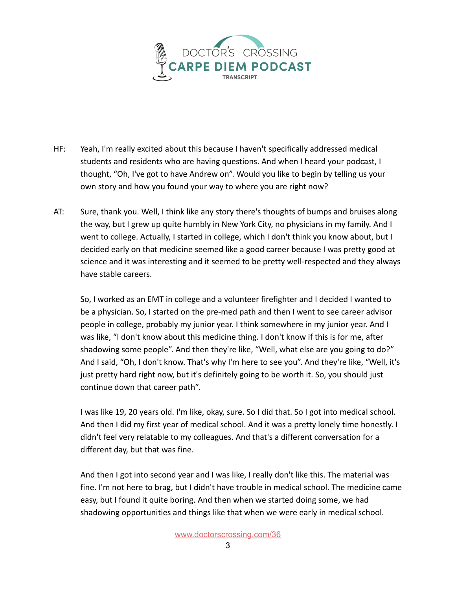

- HF: Yeah, I'm really excited about this because I haven't specifically addressed medical students and residents who are having questions. And when I heard your podcast, I thought, "Oh, I've got to have Andrew on". Would you like to begin by telling us your own story and how you found your way to where you are right now?
- AT: Sure, thank you. Well, I think like any story there's thoughts of bumps and bruises along the way, but I grew up quite humbly in New York City, no physicians in my family. And I went to college. Actually, I started in college, which I don't think you know about, but I decided early on that medicine seemed like a good career because I was pretty good at science and it was interesting and it seemed to be pretty well-respected and they always have stable careers.

So, I worked as an EMT in college and a volunteer firefighter and I decided I wanted to be a physician. So, I started on the pre-med path and then I went to see career advisor people in college, probably my junior year. I think somewhere in my junior year. And I was like, "I don't know about this medicine thing. I don't know if this is for me, after shadowing some people". And then they're like, "Well, what else are you going to do?" And I said, "Oh, I don't know. That's why I'm here to see you". And they're like, "Well, it's just pretty hard right now, but it's definitely going to be worth it. So, you should just continue down that career path".

I was like 19, 20 years old. I'm like, okay, sure. So I did that. So I got into medical school. And then I did my first year of medical school. And it was a pretty lonely time honestly. I didn't feel very relatable to my colleagues. And that's a different conversation for a different day, but that was fine.

And then I got into second year and I was like, I really don't like this. The material was fine. I'm not here to brag, but I didn't have trouble in medical school. The medicine came easy, but I found it quite boring. And then when we started doing some, we had shadowing opportunities and things like that when we were early in medical school.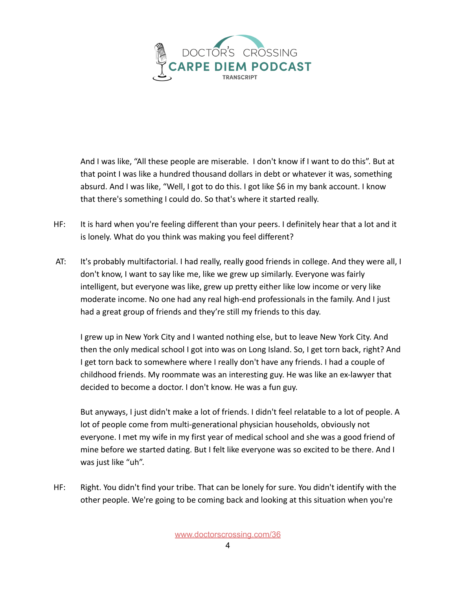

And I was like, "All these people are miserable. I don't know if I want to do this". But at that point I was like a hundred thousand dollars in debt or whatever it was, something absurd. And I was like, "Well, I got to do this. I got like \$6 in my bank account. I know that there's something I could do. So that's where it started really.

- HF: It is hard when you're feeling different than your peers. I definitely hear that a lot and it is lonely. What do you think was making you feel different?
- AT: It's probably multifactorial. I had really, really good friends in college. And they were all, I don't know, I want to say like me, like we grew up similarly. Everyone was fairly intelligent, but everyone was like, grew up pretty either like low income or very like moderate income. No one had any real high-end professionals in the family. And I just had a great group of friends and they're still my friends to this day.

I grew up in New York City and I wanted nothing else, but to leave New York City. And then the only medical school I got into was on Long Island. So, I get torn back, right? And I get torn back to somewhere where I really don't have any friends. I had a couple of childhood friends. My roommate was an interesting guy. He was like an ex-lawyer that decided to become a doctor. I don't know. He was a fun guy.

But anyways, I just didn't make a lot of friends. I didn't feel relatable to a lot of people. A lot of people come from multi-generational physician households, obviously not everyone. I met my wife in my first year of medical school and she was a good friend of mine before we started dating. But I felt like everyone was so excited to be there. And I was just like "uh".

HF: Right. You didn't find your tribe. That can be lonely for sure. You didn't identify with the other people. We're going to be coming back and looking at this situation when you're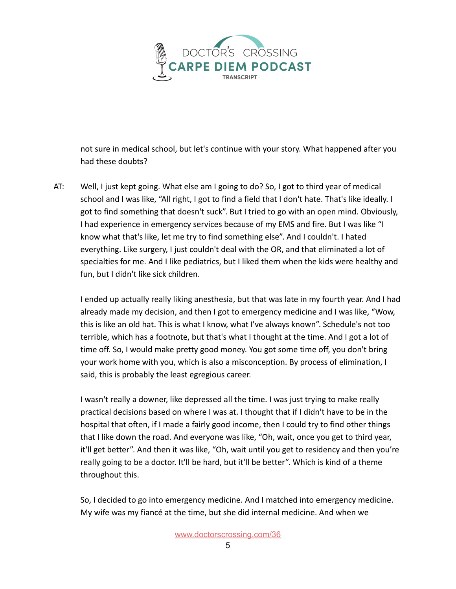

not sure in medical school, but let's continue with your story. What happened after you had these doubts?

AT: Well, I just kept going. What else am I going to do? So, I got to third year of medical school and I was like, "All right, I got to find a field that I don't hate. That's like ideally. I got to find something that doesn't suck". But I tried to go with an open mind. Obviously, I had experience in emergency services because of my EMS and fire. But I was like "I know what that's like, let me try to find something else". And I couldn't. I hated everything. Like surgery, I just couldn't deal with the OR, and that eliminated a lot of specialties for me. And I like pediatrics, but I liked them when the kids were healthy and fun, but I didn't like sick children.

I ended up actually really liking anesthesia, but that was late in my fourth year. And I had already made my decision, and then I got to emergency medicine and I was like, "Wow, this is like an old hat. This is what I know, what I've always known". Schedule's not too terrible, which has a footnote, but that's what I thought at the time. And I got a lot of time off. So, I would make pretty good money. You got some time off, you don't bring your work home with you, which is also a misconception. By process of elimination, I said, this is probably the least egregious career.

I wasn't really a downer, like depressed all the time. I was just trying to make really practical decisions based on where I was at. I thought that if I didn't have to be in the hospital that often, if I made a fairly good income, then I could try to find other things that I like down the road. And everyone was like, "Oh, wait, once you get to third year, it'll get better". And then it was like, "Oh, wait until you get to residency and then you're really going to be a doctor. It'll be hard, but it'll be better". Which is kind of a theme throughout this.

So, I decided to go into emergency medicine. And I matched into emergency medicine. My wife was my fiancé at the time, but she did internal medicine. And when we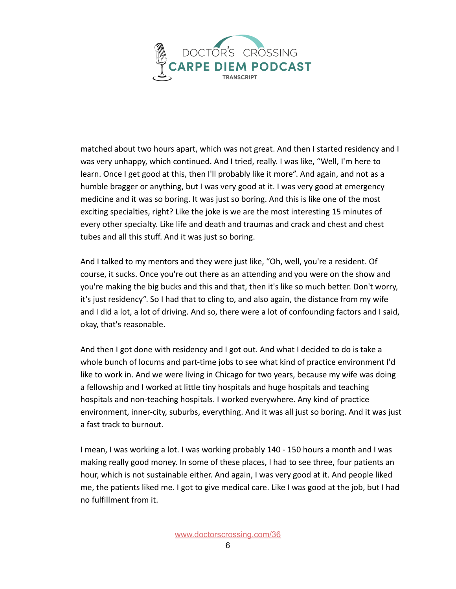

matched about two hours apart, which was not great. And then I started residency and I was very unhappy, which continued. And I tried, really. I was like, "Well, I'm here to learn. Once I get good at this, then I'll probably like it more". And again, and not as a humble bragger or anything, but I was very good at it. I was very good at emergency medicine and it was so boring. It was just so boring. And this is like one of the most exciting specialties, right? Like the joke is we are the most interesting 15 minutes of every other specialty. Like life and death and traumas and crack and chest and chest tubes and all this stuff. And it was just so boring.

And I talked to my mentors and they were just like, "Oh, well, you're a resident. Of course, it sucks. Once you're out there as an attending and you were on the show and you're making the big bucks and this and that, then it's like so much better. Don't worry, it's just residency". So I had that to cling to, and also again, the distance from my wife and I did a lot, a lot of driving. And so, there were a lot of confounding factors and I said, okay, that's reasonable.

And then I got done with residency and I got out. And what I decided to do is take a whole bunch of locums and part-time jobs to see what kind of practice environment I'd like to work in. And we were living in Chicago for two years, because my wife was doing a fellowship and I worked at little tiny hospitals and huge hospitals and teaching hospitals and non-teaching hospitals. I worked everywhere. Any kind of practice environment, inner-city, suburbs, everything. And it was all just so boring. And it was just a fast track to burnout.

I mean, I was working a lot. I was working probably 140 - 150 hours a month and I was making really good money. In some of these places, I had to see three, four patients an hour, which is not sustainable either. And again, I was very good at it. And people liked me, the patients liked me. I got to give medical care. Like I was good at the job, but I had no fulfillment from it.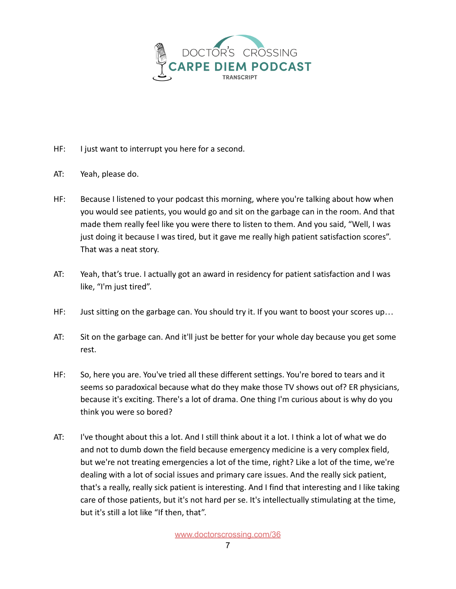

- HF: I just want to interrupt you here for a second.
- AT: Yeah, please do.
- HF: Because I listened to your podcast this morning, where you're talking about how when you would see patients, you would go and sit on the garbage can in the room. And that made them really feel like you were there to listen to them. And you said, "Well, I was just doing it because I was tired, but it gave me really high patient satisfaction scores". That was a neat story.
- AT: Yeah, that's true. I actually got an award in residency for patient satisfaction and I was like, "I'm just tired".
- HF: Just sitting on the garbage can. You should try it. If you want to boost your scores up…
- AT: Sit on the garbage can. And it'll just be better for your whole day because you get some rest.
- HF: So, here you are. You've tried all these different settings. You're bored to tears and it seems so paradoxical because what do they make those TV shows out of? ER physicians, because it's exciting. There's a lot of drama. One thing I'm curious about is why do you think you were so bored?
- AT: I've thought about this a lot. And I still think about it a lot. I think a lot of what we do and not to dumb down the field because emergency medicine is a very complex field, but we're not treating emergencies a lot of the time, right? Like a lot of the time, we're dealing with a lot of social issues and primary care issues. And the really sick patient, that's a really, really sick patient is interesting. And I find that interesting and I like taking care of those patients, but it's not hard per se. It's intellectually stimulating at the time, but it's still a lot like "If then, that".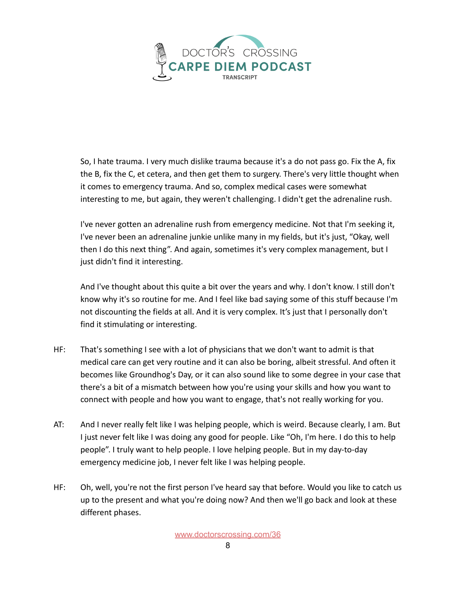

So, I hate trauma. I very much dislike trauma because it's a do not pass go. Fix the A, fix the B, fix the C, et cetera, and then get them to surgery. There's very little thought when it comes to emergency trauma. And so, complex medical cases were somewhat interesting to me, but again, they weren't challenging. I didn't get the adrenaline rush.

I've never gotten an adrenaline rush from emergency medicine. Not that I'm seeking it, I've never been an adrenaline junkie unlike many in my fields, but it's just, "Okay, well then I do this next thing". And again, sometimes it's very complex management, but I just didn't find it interesting.

And I've thought about this quite a bit over the years and why. I don't know. I still don't know why it's so routine for me. And I feel like bad saying some of this stuff because I'm not discounting the fields at all. And it is very complex. It's just that I personally don't find it stimulating or interesting.

- HF: That's something I see with a lot of physicians that we don't want to admit is that medical care can get very routine and it can also be boring, albeit stressful. And often it becomes like Groundhog's Day, or it can also sound like to some degree in your case that there's a bit of a mismatch between how you're using your skills and how you want to connect with people and how you want to engage, that's not really working for you.
- AT: And I never really felt like I was helping people, which is weird. Because clearly, I am. But I just never felt like I was doing any good for people. Like "Oh, I'm here. I do this to help people". I truly want to help people. I love helping people. But in my day-to-day emergency medicine job, I never felt like I was helping people.
- HF: Oh, well, you're not the first person I've heard say that before. Would you like to catch us up to the present and what you're doing now? And then we'll go back and look at these different phases.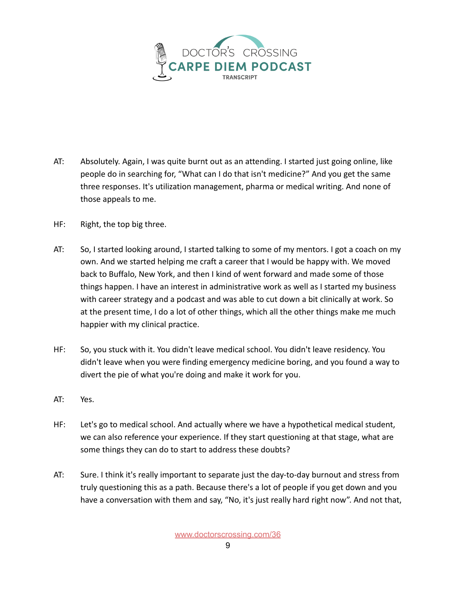

- AT: Absolutely. Again, I was quite burnt out as an attending. I started just going online, like people do in searching for, "What can I do that isn't medicine?" And you get the same three responses. It's utilization management, pharma or medical writing. And none of those appeals to me.
- HF: Right, the top big three.
- AT: So, I started looking around, I started talking to some of my mentors. I got a coach on my own. And we started helping me craft a career that I would be happy with. We moved back to Buffalo, New York, and then I kind of went forward and made some of those things happen. I have an interest in administrative work as well as I started my business with career strategy and a podcast and was able to cut down a bit clinically at work. So at the present time, I do a lot of other things, which all the other things make me much happier with my clinical practice.
- HF: So, you stuck with it. You didn't leave medical school. You didn't leave residency. You didn't leave when you were finding emergency medicine boring, and you found a way to divert the pie of what you're doing and make it work for you.
- AT: Yes.
- HF: Let's go to medical school. And actually where we have a hypothetical medical student, we can also reference your experience. If they start questioning at that stage, what are some things they can do to start to address these doubts?
- AT: Sure. I think it's really important to separate just the day-to-day burnout and stress from truly questioning this as a path. Because there's a lot of people if you get down and you have a conversation with them and say, "No, it's just really hard right now". And not that,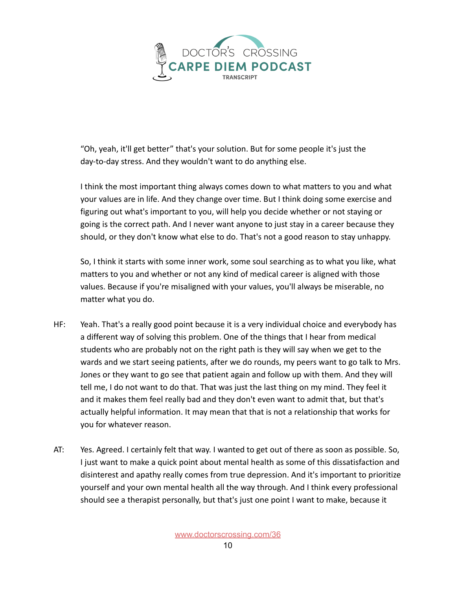

"Oh, yeah, it'll get better" that's your solution. But for some people it's just the day-to-day stress. And they wouldn't want to do anything else.

I think the most important thing always comes down to what matters to you and what your values are in life. And they change over time. But I think doing some exercise and figuring out what's important to you, will help you decide whether or not staying or going is the correct path. And I never want anyone to just stay in a career because they should, or they don't know what else to do. That's not a good reason to stay unhappy.

So, I think it starts with some inner work, some soul searching as to what you like, what matters to you and whether or not any kind of medical career is aligned with those values. Because if you're misaligned with your values, you'll always be miserable, no matter what you do.

- HF: Yeah. That's a really good point because it is a very individual choice and everybody has a different way of solving this problem. One of the things that I hear from medical students who are probably not on the right path is they will say when we get to the wards and we start seeing patients, after we do rounds, my peers want to go talk to Mrs. Jones or they want to go see that patient again and follow up with them. And they will tell me, I do not want to do that. That was just the last thing on my mind. They feel it and it makes them feel really bad and they don't even want to admit that, but that's actually helpful information. It may mean that that is not a relationship that works for you for whatever reason.
- AT: Yes. Agreed. I certainly felt that way. I wanted to get out of there as soon as possible. So, I just want to make a quick point about mental health as some of this dissatisfaction and disinterest and apathy really comes from true depression. And it's important to prioritize yourself and your own mental health all the way through. And I think every professional should see a therapist personally, but that's just one point I want to make, because it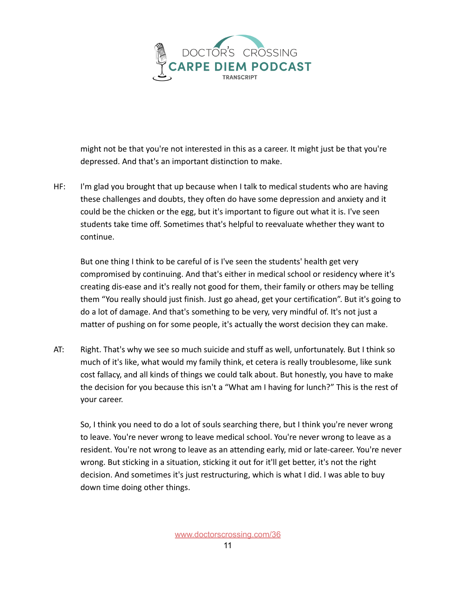

might not be that you're not interested in this as a career. It might just be that you're depressed. And that's an important distinction to make.

HF: I'm glad you brought that up because when I talk to medical students who are having these challenges and doubts, they often do have some depression and anxiety and it could be the chicken or the egg, but it's important to figure out what it is. I've seen students take time off. Sometimes that's helpful to reevaluate whether they want to continue.

But one thing I think to be careful of is I've seen the students' health get very compromised by continuing. And that's either in medical school or residency where it's creating dis-ease and it's really not good for them, their family or others may be telling them "You really should just finish. Just go ahead, get your certification". But it's going to do a lot of damage. And that's something to be very, very mindful of. It's not just a matter of pushing on for some people, it's actually the worst decision they can make.

AT: Right. That's why we see so much suicide and stuff as well, unfortunately. But I think so much of it's like, what would my family think, et cetera is really troublesome, like sunk cost fallacy, and all kinds of things we could talk about. But honestly, you have to make the decision for you because this isn't a "What am I having for lunch?" This is the rest of your career.

So, I think you need to do a lot of souls searching there, but I think you're never wrong to leave. You're never wrong to leave medical school. You're never wrong to leave as a resident. You're not wrong to leave as an attending early, mid or late-career. You're never wrong. But sticking in a situation, sticking it out for it'll get better, it's not the right decision. And sometimes it's just restructuring, which is what I did. I was able to buy down time doing other things.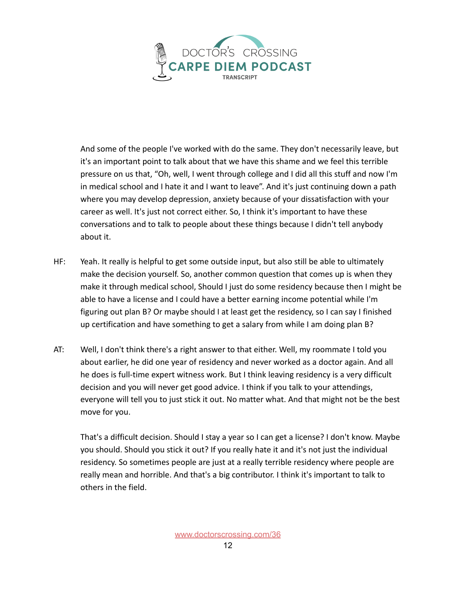

And some of the people I've worked with do the same. They don't necessarily leave, but it's an important point to talk about that we have this shame and we feel this terrible pressure on us that, "Oh, well, I went through college and I did all this stuff and now I'm in medical school and I hate it and I want to leave". And it's just continuing down a path where you may develop depression, anxiety because of your dissatisfaction with your career as well. It's just not correct either. So, I think it's important to have these conversations and to talk to people about these things because I didn't tell anybody about it.

- HF: Yeah. It really is helpful to get some outside input, but also still be able to ultimately make the decision yourself. So, another common question that comes up is when they make it through medical school, Should I just do some residency because then I might be able to have a license and I could have a better earning income potential while I'm figuring out plan B? Or maybe should I at least get the residency, so I can say I finished up certification and have something to get a salary from while I am doing plan B?
- AT: Well, I don't think there's a right answer to that either. Well, my roommate I told you about earlier, he did one year of residency and never worked as a doctor again. And all he does is full-time expert witness work. But I think leaving residency is a very difficult decision and you will never get good advice. I think if you talk to your attendings, everyone will tell you to just stick it out. No matter what. And that might not be the best move for you.

That's a difficult decision. Should I stay a year so I can get a license? I don't know. Maybe you should. Should you stick it out? If you really hate it and it's not just the individual residency. So sometimes people are just at a really terrible residency where people are really mean and horrible. And that's a big contributor. I think it's important to talk to others in the field.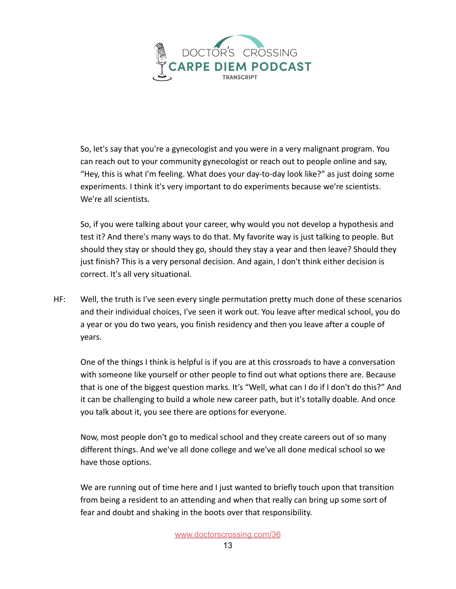

So, let's say that you're a gynecologist and you were in a very malignant program. You can reach out to your community gynecologist or reach out to people online and say, "Hey, this is what I'm feeling. What does your day-to-day look like?" as just doing some experiments. I think it's very important to do experiments because we're scientists. We're all scientists.

So, if you were talking about your career, why would you not develop a hypothesis and test it? And there's many ways to do that. My favorite way is just talking to people. But should they stay or should they go, should they stay a year and then leave? Should they just finish? This is a very personal decision. And again, I don't think either decision is correct. It's all very situational.

HF: Well, the truth is I've seen every single permutation pretty much done of these scenarios and their individual choices, I've seen it work out. You leave after medical school, you do a year or you do two years, you finish residency and then you leave after a couple of years.

One of the things I think is helpful is if you are at this crossroads to have a conversation with someone like yourself or other people to find out what options there are. Because that is one of the biggest question marks. It's "Well, what can I do if I don't do this?" And it can be challenging to build a whole new career path, but it's totally doable. And once you talk about it, you see there are options for everyone.

Now, most people don't go to medical school and they create careers out of so many different things. And we've all done college and we've all done medical school so we have those options.

We are running out of time here and I just wanted to briefly touch upon that transition from being a resident to an attending and when that really can bring up some sort of fear and doubt and shaking in the boots over that responsibility.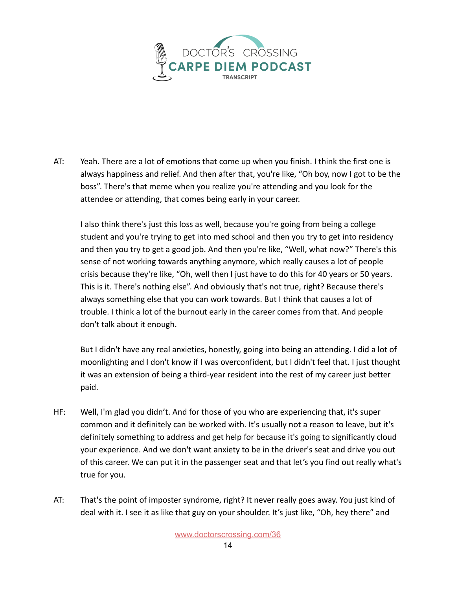

AT: Yeah. There are a lot of emotions that come up when you finish. I think the first one is always happiness and relief. And then after that, you're like, "Oh boy, now I got to be the boss". There's that meme when you realize you're attending and you look for the attendee or attending, that comes being early in your career.

I also think there's just this loss as well, because you're going from being a college student and you're trying to get into med school and then you try to get into residency and then you try to get a good job. And then you're like, "Well, what now?" There's this sense of not working towards anything anymore, which really causes a lot of people crisis because they're like, "Oh, well then I just have to do this for 40 years or 50 years. This is it. There's nothing else". And obviously that's not true, right? Because there's always something else that you can work towards. But I think that causes a lot of trouble. I think a lot of the burnout early in the career comes from that. And people don't talk about it enough.

But I didn't have any real anxieties, honestly, going into being an attending. I did a lot of moonlighting and I don't know if I was overconfident, but I didn't feel that. I just thought it was an extension of being a third-year resident into the rest of my career just better paid.

- HF: Well, I'm glad you didn't. And for those of you who are experiencing that, it's super common and it definitely can be worked with. It's usually not a reason to leave, but it's definitely something to address and get help for because it's going to significantly cloud your experience. And we don't want anxiety to be in the driver's seat and drive you out of this career. We can put it in the passenger seat and that let's you find out really what's true for you.
- AT: That's the point of imposter syndrome, right? It never really goes away. You just kind of deal with it. I see it as like that guy on your shoulder. It's just like, "Oh, hey there" and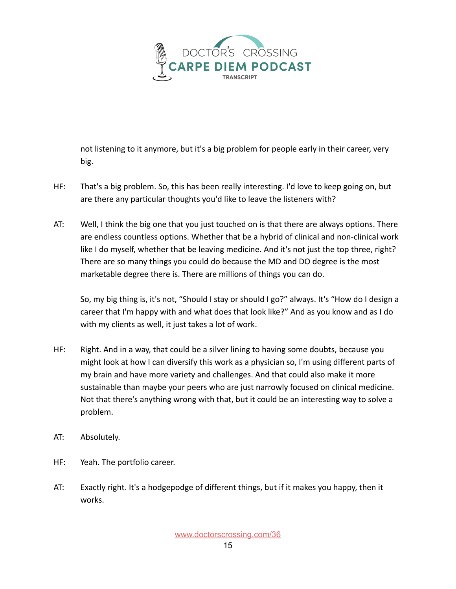

not listening to it anymore, but it's a big problem for people early in their career, very big.

- HF: That's a big problem. So, this has been really interesting. I'd love to keep going on, but are there any particular thoughts you'd like to leave the listeners with?
- AT: Well, I think the big one that you just touched on is that there are always options. There are endless countless options. Whether that be a hybrid of clinical and non-clinical work like I do myself, whether that be leaving medicine. And it's not just the top three, right? There are so many things you could do because the MD and DO degree is the most marketable degree there is. There are millions of things you can do.

So, my big thing is, it's not, "Should I stay or should I go?" always. It's "How do I design a career that I'm happy with and what does that look like?" And as you know and as I do with my clients as well, it just takes a lot of work.

- HF: Right. And in a way, that could be a silver lining to having some doubts, because you might look at how I can diversify this work as a physician so, I'm using different parts of my brain and have more variety and challenges. And that could also make it more sustainable than maybe your peers who are just narrowly focused on clinical medicine. Not that there's anything wrong with that, but it could be an interesting way to solve a problem.
- AT: Absolutely.
- HF: Yeah. The portfolio career.
- AT: Exactly right. It's a hodgepodge of different things, but if it makes you happy, then it works.